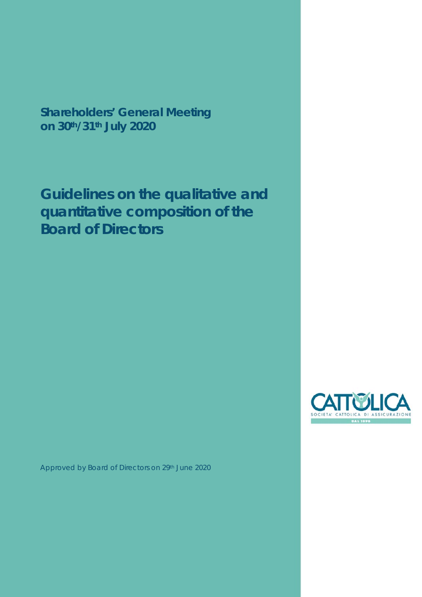**Shareholders' General Meeting on 30th/31th July 2020** 

**Guidelines on the qualitative and quantitative composition of the Board of Directors** 



Approved by Board of Directors on 29th June 2020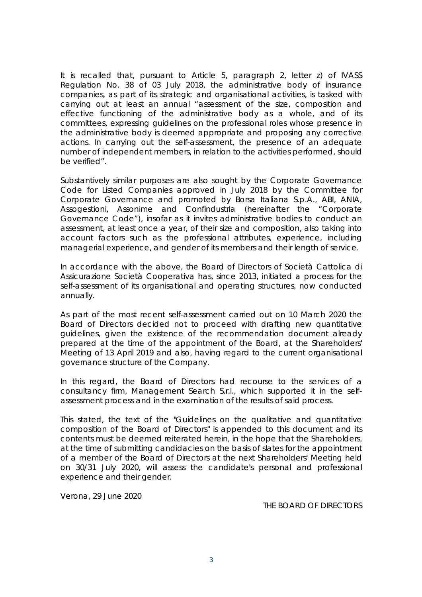It is recalled that, pursuant to Article 5, paragraph 2, letter z) of IVASS Regulation No. 38 of 03 July 2018, the administrative body of insurance companies, as part of its strategic and organisational activities, is tasked with carrying out at least an annual "assessment of the size, composition and effective functioning of the administrative body as a whole, and of its committees, expressing guidelines on the professional roles whose presence in the administrative body is deemed appropriate and proposing any corrective actions. In carrying out the self-assessment, the presence of an adequate number of independent members, in relation to the activities performed, should be verified".

Substantively similar purposes are also sought by the Corporate Governance Code for Listed Companies approved in July 2018 by the Committee for *Corporate Governance* and promoted by Borsa Italiana S.p.A., ABI, ANIA, Assogestioni, Assonime and Confindustria (hereinafter the "Corporate Governance Code"), insofar as it invites administrative bodies to conduct an assessment, at least once a year, of their size and composition, also taking into account factors such as the professional attributes, experience, including managerial experience, and gender of its members and their length of service.

In accordance with the above, the Board of Directors of Società Cattolica di Assicurazione Società Cooperativa has, since 2013, initiated a process for the self-assessment of its organisational and operating structures, now conducted annually.

As part of the most recent self-assessment carried out on 10 March 2020 the Board of Directors decided not to proceed with drafting new quantitative guidelines, given the existence of the recommendation document already prepared at the time of the appointment of the Board, at the Shareholders' Meeting of 13 April 2019 and also, having regard to the current organisational governance structure of the Company.

In this regard, the Board of Directors had recourse to the services of a consultancy firm, Management Search S.r.l., which supported it in the selfassessment process and in the examination of the results of said process.

This stated, the text of the "*Guidelines on the qualitative and quantitative composition of the Board of Directors*" is appended to this document and its contents must be deemed reiterated herein, in the hope that the Shareholders, at the time of submitting candidacies on the basis of slates for the appointment of a member of the Board of Directors at the next Shareholders' Meeting held on 30/31 July 2020, will assess the candidate's personal and professional experience and their gender.

Verona, 29 June 2020

THE BOARD OF DIRECTORS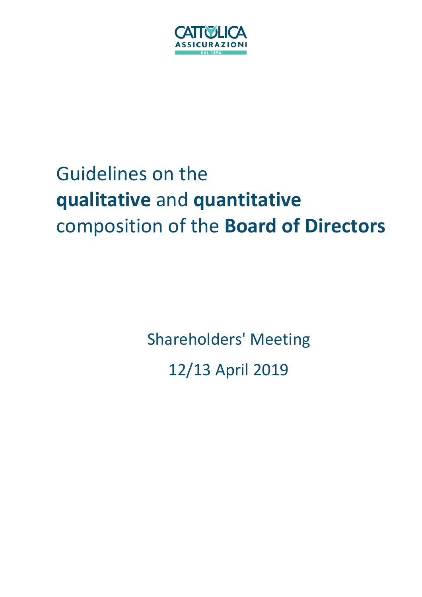

# Guidelines on the **qualitative** and **quantitative** composition of the **Board of Directors**

Shareholders' Meeting 12/13 April 2019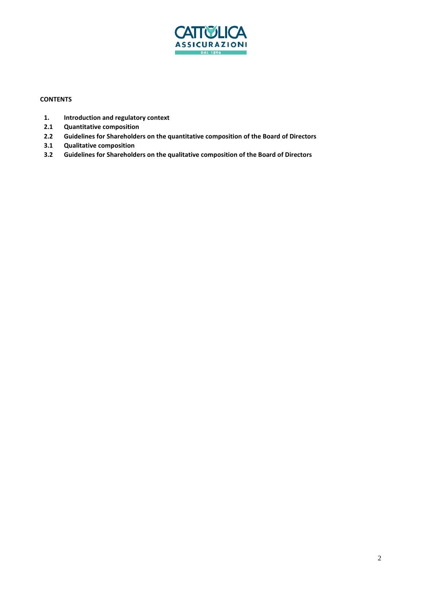

# **CONTENTS**

- **1. Introduction and regulatory context**
- **2.1 Quantitative composition**
- **2.2 Guidelines for Shareholders on the quantitative composition of the Board of Directors**
- **3.1 Qualitative composition**
- **3.2 Guidelines for Shareholders on the qualitative composition of the Board of Directors**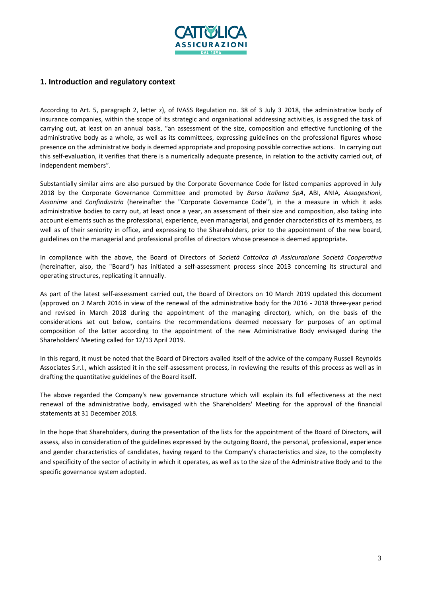

# **1. Introduction and regulatory context**

According to Art. 5, paragraph 2, letter z), of IVASS Regulation no. 38 of 3 July 3 2018, the administrative body of insurance companies, within the scope of its strategic and organisational addressing activities, is assigned the task of carrying out, at least on an annual basis, "an assessment of the size, composition and effective functioning of the administrative body as a whole, as well as its committees, expressing guidelines on the professional figures whose presence on the administrative body is deemed appropriate and proposing possible corrective actions. In carrying out this self-evaluation, it verifies that there is a numerically adequate presence, in relation to the activity carried out, of independent members".

Substantially similar aims are also pursued by the Corporate Governance Code for listed companies approved in July 2018 by the Corporate Governance Committee and promoted by *Borsa Italiana SpA*, ABI, ANIA*, Assogestioni*, *Assonime* and *Confindustria* (hereinafter the "Corporate Governance Code"), in the a measure in which it asks administrative bodies to carry out, at least once a year, an assessment of their size and composition, also taking into account elements such as the professional, experience, even managerial, and gender characteristics of its members, as well as of their seniority in office, and expressing to the Shareholders, prior to the appointment of the new board, guidelines on the managerial and professional profiles of directors whose presence is deemed appropriate.

In compliance with the above, the Board of Directors of *Società Cattolica di Assicurazione Società Cooperativa* (hereinafter, also, the "Board") has initiated a self-assessment process since 2013 concerning its structural and operating structures, replicating it annually.

As part of the latest self-assessment carried out, the Board of Directors on 10 March 2019 updated this document (approved on 2 March 2016 in view of the renewal of the administrative body for the 2016 - 2018 three-year period and revised in March 2018 during the appointment of the managing director), which, on the basis of the considerations set out below, contains the recommendations deemed necessary for purposes of an optimal composition of the latter according to the appointment of the new Administrative Body envisaged during the Shareholders' Meeting called for 12/13 April 2019.

In this regard, it must be noted that the Board of Directors availed itself of the advice of the company Russell Reynolds Associates S.r.l., which assisted it in the self-assessment process, in reviewing the results of this process as well as in drafting the quantitative guidelines of the Board itself.

The above regarded the Company's new governance structure which will explain its full effectiveness at the next renewal of the administrative body, envisaged with the Shareholders' Meeting for the approval of the financial statements at 31 December 2018.

In the hope that Shareholders, during the presentation of the lists for the appointment of the Board of Directors, will assess, also in consideration of the guidelines expressed by the outgoing Board, the personal, professional, experience and gender characteristics of candidates, having regard to the Company's characteristics and size, to the complexity and specificity of the sector of activity in which it operates, as well as to the size of the Administrative Body and to the specific governance system adopted.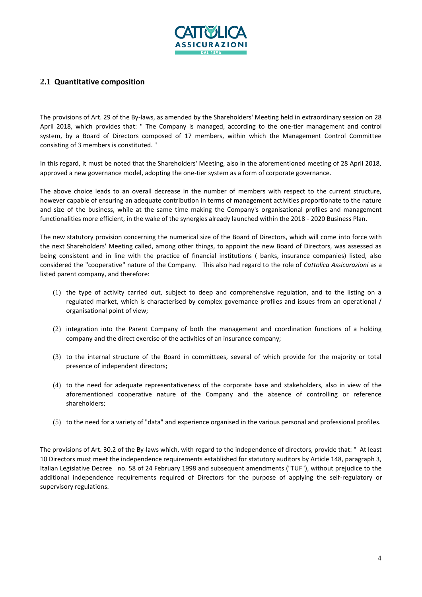

# **2.1 Quantitative composition**

The provisions of Art. 29 of the By-laws, as amended by the Shareholders' Meeting held in extraordinary session on 28 April 2018, which provides that: " The Company is managed, according to the one-tier management and control system, by a Board of Directors composed of 17 members, within which the Management Control Committee consisting of 3 members is constituted. "

In this regard, it must be noted that the Shareholders' Meeting, also in the aforementioned meeting of 28 April 2018, approved a new governance model, adopting the one-tier system as a form of corporate governance.

The above choice leads to an overall decrease in the number of members with respect to the current structure, however capable of ensuring an adequate contribution in terms of management activities proportionate to the nature and size of the business, while at the same time making the Company's organisational profiles and management functionalities more efficient, in the wake of the synergies already launched within the 2018 - 2020 Business Plan.

The new statutory provision concerning the numerical size of the Board of Directors, which will come into force with the next Shareholders' Meeting called, among other things, to appoint the new Board of Directors, was assessed as being consistent and in line with the practice of financial institutions ( banks, insurance companies) listed, also considered the "cooperative" nature of the Company. This also had regard to the role of *Cattolica Assicurazioni* as a listed parent company, and therefore:

- (1) the type of activity carried out, subject to deep and comprehensive regulation, and to the listing on a regulated market, which is characterised by complex governance profiles and issues from an operational / organisational point of view;
- (2) integration into the Parent Company of both the management and coordination functions of a holding company and the direct exercise of the activities of an insurance company;
- (3) to the internal structure of the Board in committees, several of which provide for the majority or total presence of independent directors;
- (4) to the need for adequate representativeness of the corporate base and stakeholders, also in view of the aforementioned cooperative nature of the Company and the absence of controlling or reference shareholders;
- (5) to the need for a variety of "data" and experience organised in the various personal and professional profiles.

The provisions of Art. 30.2 of the By-laws which, with regard to the independence of directors, provide that: " At least 10 Directors must meet the independence requirements established for statutory auditors by Article 148, paragraph 3, Italian Legislative Decree no. 58 of 24 February 1998 and subsequent amendments ("TUF"), without prejudice to the additional independence requirements required of Directors for the purpose of applying the self-regulatory or supervisory regulations.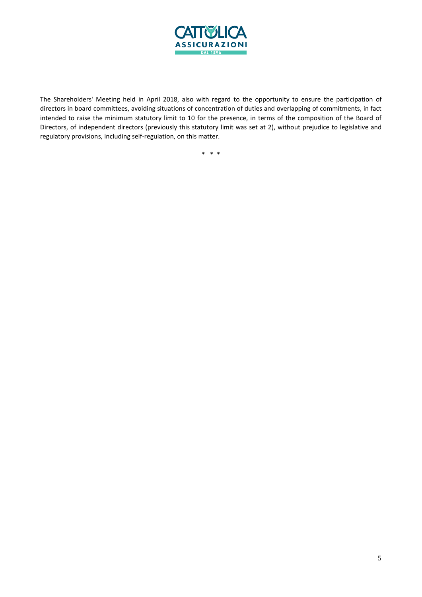

The Shareholders' Meeting held in April 2018, also with regard to the opportunity to ensure the participation of directors in board committees, avoiding situations of concentration of duties and overlapping of commitments, in fact intended to raise the minimum statutory limit to 10 for the presence, in terms of the composition of the Board of Directors, of independent directors (previously this statutory limit was set at 2), without prejudice to legislative and regulatory provisions, including self-regulation, on this matter.

\* \* \*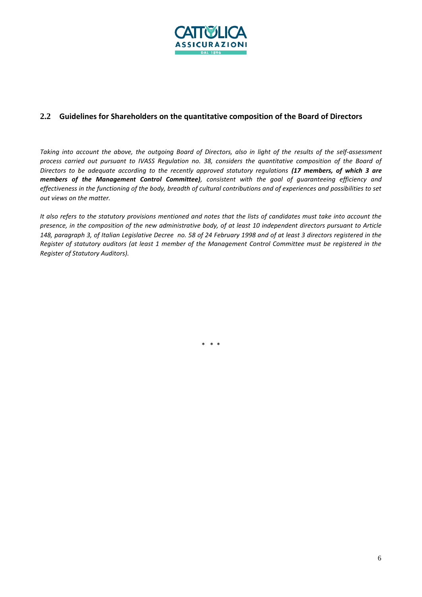

# **2.2 Guidelines for Shareholders on the quantitative composition of the Board of Directors**

*Taking into account the above, the outgoing Board of Directors, also in light of the results of the self-assessment process carried out pursuant to IVASS Regulation no. 38, considers the quantitative composition of the Board of Directors to be adequate according to the recently approved statutory regulations (17 members, of which 3 are members of the Management Control Committee), consistent with the goal of guaranteeing efficiency and effectiveness in the functioning of the body, breadth of cultural contributions and of experiences and possibilities to set out views on the matter.*

*It also refers to the statutory provisions mentioned and notes that the lists of candidates must take into account the presence, in the composition of the new administrative body, of at least 10 independent directors pursuant to Article 148, paragraph 3, of Italian Legislative Decree no. 58 of 24 February 1998 and of at least 3 directors registered in the Register of statutory auditors (at least 1 member of the Management Control Committee must be registered in the Register of Statutory Auditors).*

\* \* \*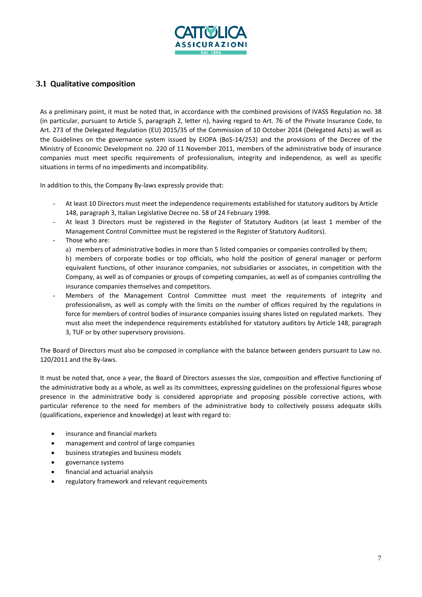

# **3.1 Qualitative composition**

As a preliminary point, it must be noted that, in accordance with the combined provisions of IVASS Regulation no. 38 (in particular, pursuant to Article 5, paragraph 2, letter n), having regard to Art. 76 of the Private Insurance Code, to Art. 273 of the Delegated Regulation (EU) 2015/35 of the Commission of 10 October 2014 (Delegated Acts) as well as the Guidelines on the governance system issued by EIOPA (BoS-14/253) and the provisions of the Decree of the Ministry of Economic Development no. 220 of 11 November 2011, members of the administrative body of insurance companies must meet specific requirements of professionalism, integrity and independence, as well as specific situations in terms of no impediments and incompatibility.

In addition to this, the Company By-laws expressly provide that:

- At least 10 Directors must meet the independence requirements established for statutory auditors by Article 148, paragraph 3, Italian Legislative Decree no. 58 of 24 February 1998.
- At least 3 Directors must be registered in the Register of Statutory Auditors (at least 1 member of the Management Control Committee must be registered in the Register of Statutory Auditors).
- Those who are:

a) members of administrative bodies in more than 5 listed companies or companies controlled by them;

b) members of corporate bodies or top officials, who hold the position of general manager or perform equivalent functions, of other insurance companies, not subsidiaries or associates, in competition with the Company, as well as of companies or groups of competing companies, as well as of companies controlling the insurance companies themselves and competitors.

Members of the Management Control Committee must meet the requirements of integrity and professionalism, as well as comply with the limits on the number of offices required by the regulations in force for members of control bodies of insurance companies issuing shares listed on regulated markets. They must also meet the independence requirements established for statutory auditors by Article 148, paragraph 3, TUF or by other supervisory provisions.

The Board of Directors must also be composed in compliance with the balance between genders pursuant to Law no. 120/2011 and the By-laws.

It must be noted that, once a year, the Board of Directors assesses the size, composition and effective functioning of the administrative body as a whole, as well as its committees, expressing guidelines on the professional figures whose presence in the administrative body is considered appropriate and proposing possible corrective actions, with particular reference to the need for members of the administrative body to collectively possess adequate skills (qualifications, experience and knowledge) at least with regard to:

- insurance and financial markets
- management and control of large companies
- business strategies and business models
- governance systems
- financial and actuarial analysis
- regulatory framework and relevant requirements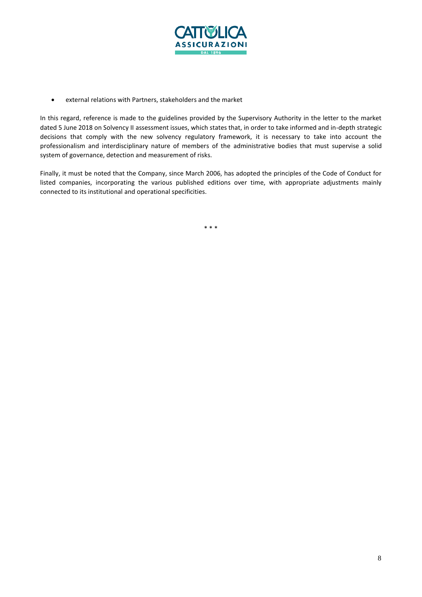

• external relations with Partners, stakeholders and the market

In this regard, reference is made to the guidelines provided by the Supervisory Authority in the letter to the market dated 5 June 2018 on Solvency II assessment issues, which states that, in order to take informed and in-depth strategic decisions that comply with the new solvency regulatory framework, it is necessary to take into account the professionalism and interdisciplinary nature of members of the administrative bodies that must supervise a solid system of governance, detection and measurement of risks.

Finally, it must be noted that the Company, since March 2006, has adopted the principles of the Code of Conduct for listed companies, incorporating the various published editions over time, with appropriate adjustments mainly connected to its institutional and operational specificities.

\* \* \*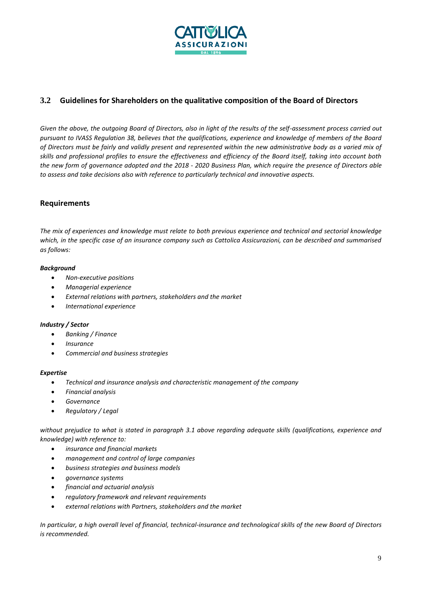

# **3.2 Guidelines for Shareholders on the qualitative composition of the Board of Directors**

*Given the above, the outgoing Board of Directors, also in light of the results of the self-assessment process carried out pursuant to IVASS Regulation 38, believes that the qualifications, experience and knowledge of members of the Board of Directors must be fairly and validly present and represented within the new administrative body as a varied mix of skills and professional profiles to ensure the effectiveness and efficiency of the Board itself, taking into account both the new form of governance adopted and the 2018 - 2020 Business Plan, which require the presence of Directors able to assess and take decisions also with reference to particularly technical and innovative aspects.*

## **Requirements**

*The mix of experiences and knowledge must relate to both previous experience and technical and sectorial knowledge which, in the specific case of an insurance company such as Cattolica Assicurazioni, can be described and summarised as follows:*

#### *Background*

- *Non-executive positions*
- *Managerial experience*
- *External relations with partners, stakeholders and the market*
- *International experience*

#### *Industry / Sector*

- *Banking / Finance*
- *Insurance*
- *Commercial and business strategies*

#### *Expertise*

- *Technical and insurance analysis and characteristic management of the company*
- *Financial analysis*
- *Governance*
- *Regulatory / Legal*

*without prejudice to what is stated in paragraph 3.1 above regarding adequate skills (qualifications, experience and knowledge) with reference to:*

- *insurance and financial markets*
- *management and control of large companies*
- *business strategies and business models*
- *governance systems*
- *financial and actuarial analysis*
- *regulatory framework and relevant requirements*
- *external relations with Partners, stakeholders and the market*

*In particular, a high overall level of financial, technical-insurance and technological skills of the new Board of Directors is recommended.*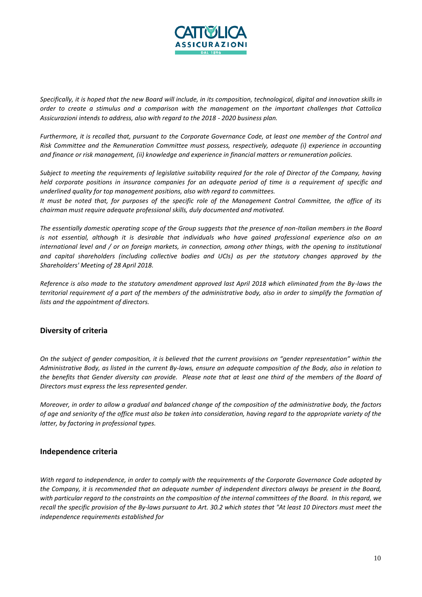

*Specifically, it is hoped that the new Board will include, in its composition, technological, digital and innovation skills in order to create a stimulus and a comparison with the management on the important challenges that Cattolica Assicurazioni intends to address, also with regard to the 2018 - 2020 business plan.*

*Furthermore, it is recalled that, pursuant to the Corporate Governance Code, at least one member of the Control and Risk Committee and the Remuneration Committee must possess, respectively, adequate (i) experience in accounting and finance or risk management, (ii) knowledge and experience in financial matters or remuneration policies.*

*Subject to meeting the requirements of legislative suitability required for the role of Director of the Company, having held corporate positions in insurance companies for an adequate period of time is a requirement of specific and underlined quality for top management positions, also with regard to committees.*

*It must be noted that, for purposes of the specific role of the Management Control Committee, the office of its chairman must require adequate professional skills, duly documented and motivated.*

*The essentially domestic operating scope of the Group suggests that the presence of non-Italian members in the Board is not essential, although it is desirable that individuals who have gained professional experience also on an international level and / or on foreign markets, in connection, among other things, with the opening to institutional and capital shareholders (including collective bodies and UCIs) as per the statutory changes approved by the Shareholders' Meeting of 28 April 2018.*

*Reference is also made to the statutory amendment approved last April 2018 which eliminated from the By-laws the territorial requirement of a part of the members of the administrative body, also in order to simplify the formation of lists and the appointment of directors.*

# **Diversity of criteria**

*On the subject of gender composition, it is believed that the current provisions on "gender representation" within the Administrative Body, as listed in the current By-laws, ensure an adequate composition of the Body, also in relation to the benefits that Gender diversity can provide. Please note that at least one third of the members of the Board of Directors must express the less represented gender.*

*Moreover, in order to allow a gradual and balanced change of the composition of the administrative body, the factors of age and seniority of the office must also be taken into consideration, having regard to the appropriate variety of the latter, by factoring in professional types.*

### **Independence criteria**

*With regard to independence, in order to comply with the requirements of the Corporate Governance Code adopted by the Company, it is recommended that an adequate number of independent directors always be present in the Board, with particular regard to the constraints on the composition of the internal committees of the Board. In this regard, we recall the specific provision of the By-laws pursuant to Art. 30.2 which states that "At least 10 Directors must meet the independence requirements established for*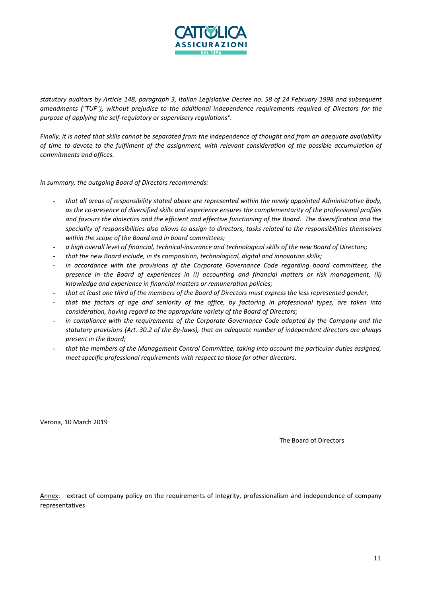

*statutory auditors by Article 148, paragraph 3, Italian Legislative Decree no. 58 of 24 February 1998 and subsequent amendments ("TUF"), without prejudice to the additional independence requirements required of Directors for the purpose of applying the self-regulatory or supervisory regulations".*

*Finally, it is noted that skills cannot be separated from the independence of thought and from an adequate availability of time to devote to the fulfilment of the assignment, with relevant consideration of the possible accumulation of commitments and offices.*

*In summary, the outgoing Board of Directors recommends:*

- *that all areas of responsibility stated above are represented within the newly appointed Administrative Body, as the co-presence of diversified skills and experience ensures the complementarity of the professional profiles and favours the dialectics and the efficient and effective functioning of the Board. The diversification and the speciality of responsibilities also allows to assign to directors, tasks related to the responsibilities themselves within the scope of the Board and in board committees;*
- *a high overall level of financial, technical-insurance and technological skills of the new Board of Directors;*
- *that the new Board include, in its composition, technological, digital and innovation skills;*
- in accordance with the provisions of the Corporate Governance Code regarding board committees, the *presence in the Board of experiences in (i) accounting and financial matters or risk management, (ii) knowledge and experience in financial matters or remuneration policies;*
- *that at least one third of the members of the Board of Directors must express the less represented gender;*
- *that the factors of age and seniority of the office, by factoring in professional types, are taken into consideration, having regard to the appropriate variety of the Board of Directors;*
- in compliance with the requirements of the Corporate Governance Code adopted by the Company and the *statutory provisions (Art. 30.2 of the By-laws), that an adequate number of independent directors are always present in the Board;*
- *that the members of the Management Control Committee, taking into account the particular duties assigned, meet specific professional requirements with respect to those for other directors.*

Verona, 10 March 2019

The Board of Directors

Annex: extract of company policy on the requirements of integrity, professionalism and independence of company representatives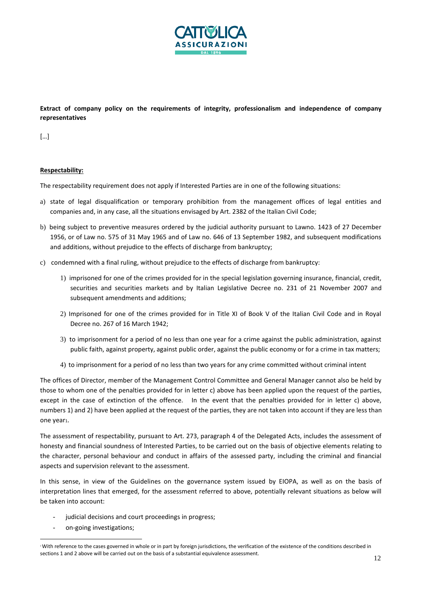

**Extract of company policy on the requirements of integrity, professionalism and independence of company representatives**

[…]

#### **Respectability:**

The respectability requirement does not apply if Interested Parties are in one of the following situations:

- a) state of legal disqualification or temporary prohibition from the management offices of legal entities and companies and, in any case, all the situations envisaged by Art. 2382 of the Italian Civil Code;
- b) being subject to preventive measures ordered by the judicial authority pursuant to Lawno. 1423 of 27 December 1956, or of Law no. 575 of 31 May 1965 and of Law no. 646 of 13 September 1982, and subsequent modifications and additions, without prejudice to the effects of discharge from bankruptcy;
- c) condemned with a final ruling, without prejudice to the effects of discharge from bankruptcy:
	- 1) imprisoned for one of the crimes provided for in the special legislation governing insurance, financial, credit, securities and securities markets and by Italian Legislative Decree no. 231 of 21 November 2007 and subsequent amendments and additions;
	- 2) Imprisoned for one of the crimes provided for in Title XI of Book V of the Italian Civil Code and in Royal Decree no. 267 of 16 March 1942;
	- 3) to imprisonment for a period of no less than one year for a crime against the public administration, against public faith, against property, against public order, against the public economy or for a crime in tax matters;
	- 4) to imprisonment for a period of no less than two years for any crime committed without criminal intent

The offices of Director, member of the Management Control Committee and General Manager cannot also be held by those to whom one of the penalties provided for in letter c) above has been applied upon the request of the parties, except in the case of extinction of the offence. In the event that the penalties provided for in letter c) above, numbers 1) and 2) have been applied at the request of the parties, they are not taken into account if they are less than one year1.

The assessment of respectability, pursuant to Art. 273, paragraph 4 of the Delegated Acts, includes the assessment of honesty and financial soundness of Interested Parties, to be carried out on the basis of objective elements relating to the character, personal behaviour and conduct in affairs of the assessed party, including the criminal and financial aspects and supervision relevant to the assessment.

In this sense, in view of the Guidelines on the governance system issued by EIOPA, as well as on the basis of interpretation lines that emerged, for the assessment referred to above, potentially relevant situations as below will be taken into account:

- judicial decisions and court proceedings in progress;
- on-going investigations;

<sup>1</sup>With reference to the cases governed in whole or in part by foreign jurisdictions, the verification of the existence of the conditions described in sections 1 and 2 above will be carried out on the basis of a substantial equivalence assessment.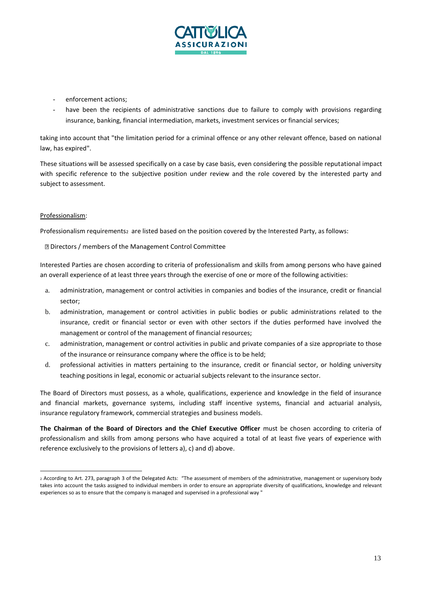

- enforcement actions;
- have been the recipients of administrative sanctions due to failure to comply with provisions regarding insurance, banking, financial intermediation, markets, investment services or financial services;

taking into account that "the limitation period for a criminal offence or any other relevant offence, based on national law, has expired".

These situations will be assessed specifically on a case by case basis, even considering the possible reputational impact with specific reference to the subjective position under review and the role covered by the interested party and subject to assessment.

#### Professionalism:

Professionalism requirements<sub>2</sub> are listed based on the position covered by the Interested Party, as follows:

Directors / members of the Management Control Committee

Interested Parties are chosen according to criteria of professionalism and skills from among persons who have gained an overall experience of at least three years through the exercise of one or more of the following activities:

- a. administration, management or control activities in companies and bodies of the insurance, credit or financial sector;
- b. administration, management or control activities in public bodies or public administrations related to the insurance, credit or financial sector or even with other sectors if the duties performed have involved the management or control of the management of financial resources;
- c. administration, management or control activities in public and private companies of a size appropriate to those of the insurance or reinsurance company where the office is to be held;
- d. professional activities in matters pertaining to the insurance, credit or financial sector, or holding university teaching positions in legal, economic or actuarial subjects relevant to the insurance sector.

The Board of Directors must possess, as a whole, qualifications, experience and knowledge in the field of insurance and financial markets, governance systems, including staff incentive systems, financial and actuarial analysis, insurance regulatory framework, commercial strategies and business models.

**The Chairman of the Board of Directors and the Chief Executive Officer** must be chosen according to criteria of professionalism and skills from among persons who have acquired a total of at least five years of experience with reference exclusively to the provisions of letters a), c) and d) above.

<sup>2</sup>According to Art. 273, paragraph 3 of the Delegated Acts: "The assessment of members of the administrative, management or supervisory body takes into account the tasks assigned to individual members in order to ensure an appropriate diversity of qualifications, knowledge and relevant experiences so as to ensure that the company is managed and supervised in a professional way "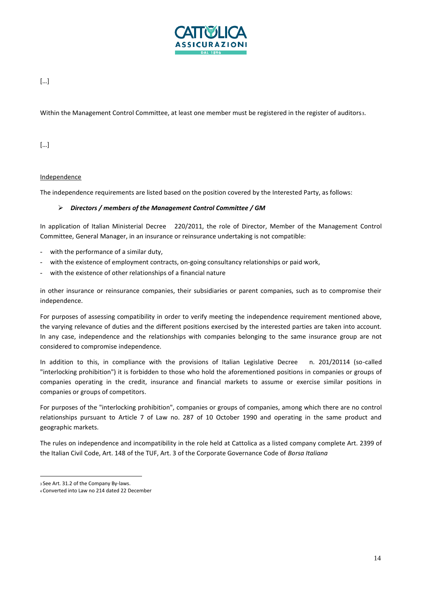

## […]

Within the Management Control Committee, at least one member must be registered in the register of auditors3.

[…]

#### Independence

The independence requirements are listed based on the position covered by the Interested Party, as follows:

#### ➢ *Directors / members of the Management Control Committee / GM*

In application of Italian Ministerial Decree 220/2011, the role of Director, Member of the Management Control Committee, General Manager, in an insurance or reinsurance undertaking is not compatible:

- with the performance of a similar duty,
- with the existence of employment contracts, on-going consultancy relationships or paid work,
- with the existence of other relationships of a financial nature

in other insurance or reinsurance companies, their subsidiaries or parent companies, such as to compromise their independence.

For purposes of assessing compatibility in order to verify meeting the independence requirement mentioned above, the varying relevance of duties and the different positions exercised by the interested parties are taken into account. In any case, independence and the relationships with companies belonging to the same insurance group are not considered to compromise independence.

In addition to this, in compliance with the provisions of Italian Legislative Decree n. 201/20114 (so-called "interlocking prohibition") it is forbidden to those who hold the aforementioned positions in companies or groups of companies operating in the credit, insurance and financial markets to assume or exercise similar positions in companies or groups of competitors.

For purposes of the "interlocking prohibition", companies or groups of companies, among which there are no control relationships pursuant to Article 7 of Law no. 287 of 10 October 1990 and operating in the same product and geographic markets.

The rules on independence and incompatibility in the role held at Cattolica as a listed company complete Art. 2399 of the Italian Civil Code, Art. 148 of the TUF, Art. 3 of the Corporate Governance Code of *Borsa Italiana*

<sup>3</sup>See Art. 31.2 of the Company By-laws.

<sup>4</sup> Converted into Law no 214 dated 22 December